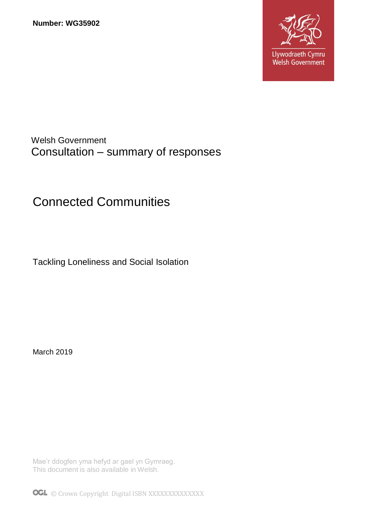

# Welsh Government Consultation – summary of responses

# Connected Communities

Tackling Loneliness and Social Isolation

March 2019

Mae'r ddogfen yma hefyd ar gael yn Gymraeg. This document is also available in Welsh.

OGL © Crown Copyright Digital ISBN XXXXXXXXXXXXX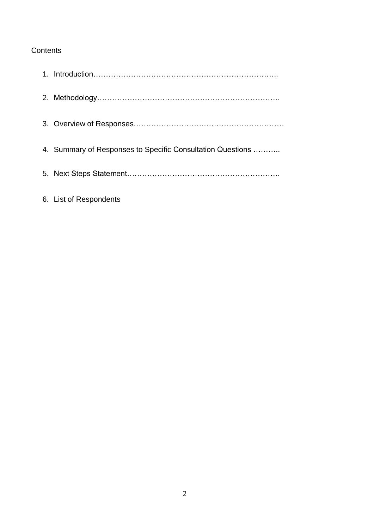#### **Contents**

| 4. Summary of Responses to Specific Consultation Questions |
|------------------------------------------------------------|
|                                                            |
| 6. List of Respondents                                     |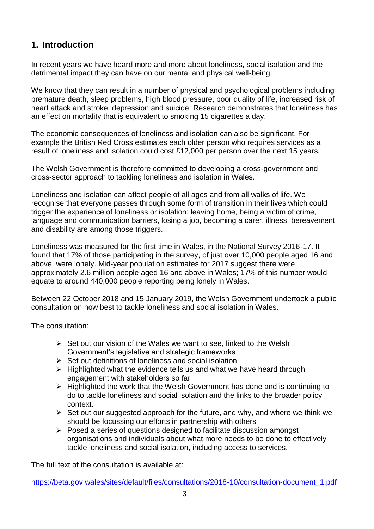# **1. Introduction**

In recent years we have heard more and more about loneliness, social isolation and the detrimental impact they can have on our mental and physical well-being.

We know that they can result in a number of physical and psychological problems including premature death, sleep problems, high blood pressure, poor quality of life, increased risk of heart attack and stroke, depression and suicide. Research demonstrates that loneliness has an effect on mortality that is equivalent to smoking 15 cigarettes a day.

The economic consequences of loneliness and isolation can also be significant. For example the British Red Cross estimates each older person who requires services as a result of loneliness and isolation could cost £12,000 per person over the next 15 years.

The Welsh Government is therefore committed to developing a cross-government and cross-sector approach to tackling loneliness and isolation in Wales.

Loneliness and isolation can affect people of all ages and from all walks of life. We recognise that everyone passes through some form of transition in their lives which could trigger the experience of loneliness or isolation: leaving home, being a victim of crime, language and communication barriers, losing a job, becoming a carer, illness, bereavement and disability are among those triggers.

Loneliness was measured for the first time in Wales, in the National Survey 2016-17. It found that 17% of those participating in the survey, of just over 10,000 people aged 16 and above, were lonely. Mid-year population estimates for 2017 suggest there were approximately 2.6 million people aged 16 and above in Wales; 17% of this number would equate to around 440,000 people reporting being lonely in Wales.

Between 22 October 2018 and 15 January 2019, the Welsh Government undertook a public consultation on how best to tackle loneliness and social isolation in Wales.

The consultation:

- $\triangleright$  Set out our vision of the Wales we want to see, linked to the Welsh Government's legislative and strategic frameworks
- $\triangleright$  Set out definitions of loneliness and social isolation
- $\triangleright$  Highlighted what the evidence tells us and what we have heard through engagement with stakeholders so far
- $\triangleright$  Highlighted the work that the Welsh Government has done and is continuing to do to tackle loneliness and social isolation and the links to the broader policy context.
- $\triangleright$  Set out our suggested approach for the future, and why, and where we think we should be focussing our efforts in partnership with others
- $\triangleright$  Posed a series of questions designed to facilitate discussion amongst organisations and individuals about what more needs to be done to effectively tackle loneliness and social isolation, including access to services.

The full text of the consultation is available at:

[https://beta.gov.wales/sites/default/files/consultations/2018-10/consultation-document\\_1.pdf](https://beta.gov.wales/sites/default/files/consultations/2018-10/consultation-document_1.pdf)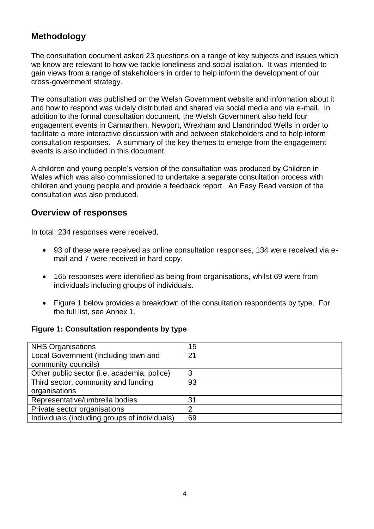# **Methodology**

The consultation document asked 23 questions on a range of key subjects and issues which we know are relevant to how we tackle loneliness and social isolation. It was intended to gain views from a range of stakeholders in order to help inform the development of our cross-government strategy.

The consultation was published on the Welsh Government website and information about it and how to respond was widely distributed and shared via social media and via e-mail. In addition to the formal consultation document, the Welsh Government also held four engagement events in Carmarthen, Newport, Wrexham and Llandrindod Wells in order to facilitate a more interactive discussion with and between stakeholders and to help inform consultation responses. A summary of the key themes to emerge from the engagement events is also included in this document.

A children and young people's version of the consultation was produced by Children in Wales which was also commissioned to undertake a separate consultation process with children and young people and provide a feedback report. An Easy Read version of the consultation was also produced.

# **Overview of responses**

In total, 234 responses were received.

- 93 of these were received as online consultation responses, 134 were received via email and 7 were received in hard copy.
- 165 responses were identified as being from organisations, whilst 69 were from individuals including groups of individuals.
- Figure 1 below provides a breakdown of the consultation respondents by type. For the full list, see Annex 1.

#### **Figure 1: Consultation respondents by type**

| <b>NHS Organisations</b>                      | 15 |
|-----------------------------------------------|----|
| Local Government (including town and          | 21 |
| community councils)                           |    |
| Other public sector (i.e. academia, police)   | 3  |
| Third sector, community and funding           | 93 |
| organisations                                 |    |
| Representative/umbrella bodies                | 31 |
| Private sector organisations                  | 2  |
| Individuals (including groups of individuals) | 69 |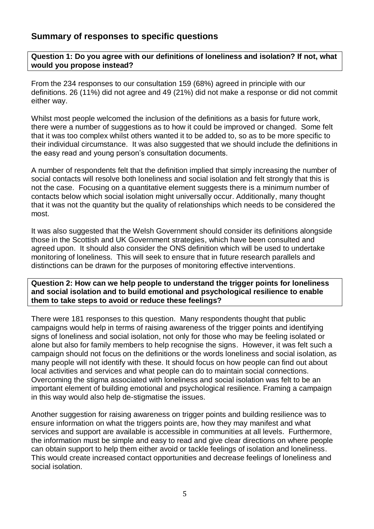# **Summary of responses to specific questions**

**Question 1: Do you agree with our definitions of loneliness and isolation? If not, what would you propose instead?**

From the 234 responses to our consultation 159 (68%) agreed in principle with our definitions. 26 (11%) did not agree and 49 (21%) did not make a response or did not commit either way.

Whilst most people welcomed the inclusion of the definitions as a basis for future work, there were a number of suggestions as to how it could be improved or changed. Some felt that it was too complex whilst others wanted it to be added to, so as to be more specific to their individual circumstance. It was also suggested that we should include the definitions in the easy read and young person's consultation documents.

A number of respondents felt that the definition implied that simply increasing the number of social contacts will resolve both loneliness and social isolation and felt strongly that this is not the case. Focusing on a quantitative element suggests there is a minimum number of contacts below which social isolation might universally occur. Additionally, many thought that it was not the quantity but the quality of relationships which needs to be considered the most.

It was also suggested that the Welsh Government should consider its definitions alongside those in the Scottish and UK Government strategies, which have been consulted and agreed upon. It should also consider the ONS definition which will be used to undertake monitoring of loneliness. This will seek to ensure that in future research parallels and distinctions can be drawn for the purposes of monitoring effective interventions.

**Question 2: How can we help people to understand the trigger points for loneliness and social isolation and to build emotional and psychological resilience to enable them to take steps to avoid or reduce these feelings?**

There were 181 responses to this question. Many respondents thought that public campaigns would help in terms of raising awareness of the trigger points and identifying signs of loneliness and social isolation, not only for those who may be feeling isolated or alone but also for family members to help recognise the signs. However, it was felt such a campaign should not focus on the definitions or the words loneliness and social isolation, as many people will not identify with these. It should focus on how people can find out about local activities and services and what people can do to maintain social connections. Overcoming the stigma associated with loneliness and social isolation was felt to be an important element of building emotional and psychological resilience. Framing a campaign in this way would also help de-stigmatise the issues.

Another suggestion for raising awareness on trigger points and building resilience was to ensure information on what the triggers points are, how they may manifest and what services and support are available is accessible in communities at all levels. Furthermore, the information must be simple and easy to read and give clear directions on where people can obtain support to help them either avoid or tackle feelings of isolation and loneliness. This would create increased contact opportunities and decrease feelings of loneliness and social isolation.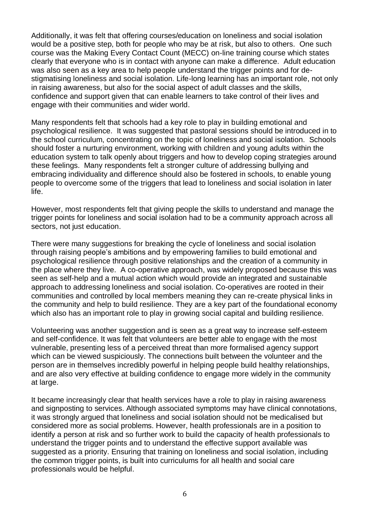Additionally, it was felt that offering courses/education on loneliness and social isolation would be a positive step, both for people who may be at risk, but also to others. One such course was the Making Every Contact Count (MECC) on-line training course which states clearly that everyone who is in contact with anyone can make a difference. Adult education was also seen as a key area to help people understand the trigger points and for destigmatising loneliness and social isolation. Life-long learning has an important role, not only in raising awareness, but also for the social aspect of adult classes and the skills, confidence and support given that can enable learners to take control of their lives and engage with their communities and wider world.

Many respondents felt that schools had a key role to play in building emotional and psychological resilience. It was suggested that pastoral sessions should be introduced in to the school curriculum, concentrating on the topic of loneliness and social isolation. Schools should foster a nurturing environment, working with children and young adults within the education system to talk openly about triggers and how to develop coping strategies around these feelings. Many respondents felt a stronger culture of addressing bullying and embracing individuality and difference should also be fostered in schools, to enable young people to overcome some of the triggers that lead to loneliness and social isolation in later life.

However, most respondents felt that giving people the skills to understand and manage the trigger points for loneliness and social isolation had to be a community approach across all sectors, not just education.

There were many suggestions for breaking the cycle of loneliness and social isolation through raising people's ambitions and by empowering families to build emotional and psychological resilience through positive relationships and the creation of a community in the place where they live. A co-operative approach, was widely proposed because this was seen as self-help and a mutual action which would provide an integrated and sustainable approach to addressing loneliness and social isolation. Co-operatives are rooted in their communities and controlled by local members meaning they can re-create physical links in the community and help to build resilience. They are a key part of the foundational economy which also has an important role to play in growing social capital and building resilience.

Volunteering was another suggestion and is seen as a great way to increase self-esteem and self-confidence. It was felt that volunteers are better able to engage with the most vulnerable, presenting less of a perceived threat than more formalised agency support which can be viewed suspiciously. The connections built between the volunteer and the person are in themselves incredibly powerful in helping people build healthy relationships, and are also very effective at building confidence to engage more widely in the community at large.

It became increasingly clear that health services have a role to play in raising awareness and signposting to services. Although associated symptoms may have clinical connotations, it was strongly argued that loneliness and social isolation should not be medicalised but considered more as social problems. However, health professionals are in a position to identify a person at risk and so further work to build the capacity of health professionals to understand the trigger points and to understand the effective support available was suggested as a priority. Ensuring that training on loneliness and social isolation, including the common trigger points, is built into curriculums for all health and social care professionals would be helpful.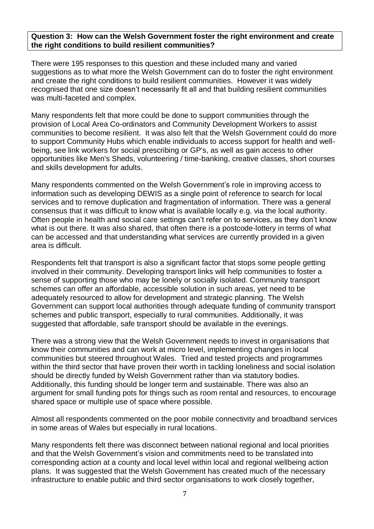#### **Question 3: How can the Welsh Government foster the right environment and create the right conditions to build resilient communities?**

There were 195 responses to this question and these included many and varied suggestions as to what more the Welsh Government can do to foster the right environment and create the right conditions to build resilient communities. However it was widely recognised that one size doesn't necessarily fit all and that building resilient communities was multi-faceted and complex.

Many respondents felt that more could be done to support communities through the provision of Local Area Co-ordinators and Community Development Workers to assist communities to become resilient. It was also felt that the Welsh Government could do more to support Community Hubs which enable individuals to access support for health and wellbeing, see link workers for social prescribing or GP's, as well as gain access to other opportunities like Men's Sheds, volunteering / time-banking, creative classes, short courses and skills development for adults.

Many respondents commented on the Welsh Government's role in improving access to information such as developing DEWIS as a single point of reference to search for local services and to remove duplication and fragmentation of information. There was a general consensus that it was difficult to know what is available locally e.g. via the local authority. Often people in health and social care settings can't refer on to services, as they don't know what is out there. It was also shared, that often there is a postcode-lottery in terms of what can be accessed and that understanding what services are currently provided in a given area is difficult.

Respondents felt that transport is also a significant factor that stops some people getting involved in their community. Developing transport links will help communities to foster a sense of supporting those who may be lonely or socially isolated. Community transport schemes can offer an affordable, accessible solution in such areas, yet need to be adequately resourced to allow for development and strategic planning. The Welsh Government can support local authorities through adequate funding of community transport schemes and public transport, especially to rural communities. Additionally, it was suggested that affordable, safe transport should be available in the evenings.

There was a strong view that the Welsh Government needs to invest in organisations that know their communities and can work at micro level, implementing changes in local communities but steered throughout Wales. Tried and tested projects and programmes within the third sector that have proven their worth in tackling loneliness and social isolation should be directly funded by Welsh Government rather than via statutory bodies. Additionally, this funding should be longer term and sustainable. There was also an argument for small funding pots for things such as room rental and resources, to encourage shared space or multiple use of space where possible.

Almost all respondents commented on the poor mobile connectivity and broadband services in some areas of Wales but especially in rural locations.

Many respondents felt there was disconnect between national regional and local priorities and that the Welsh Government's vision and commitments need to be translated into corresponding action at a county and local level within local and regional wellbeing action plans. It was suggested that the Welsh Government has created much of the necessary infrastructure to enable public and third sector organisations to work closely together,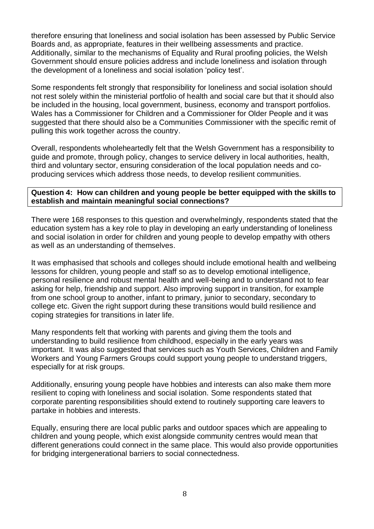therefore ensuring that loneliness and social isolation has been assessed by Public Service Boards and, as appropriate, features in their wellbeing assessments and practice. Additionally, similar to the mechanisms of Equality and Rural proofing policies, the Welsh Government should ensure policies address and include loneliness and isolation through the development of a loneliness and social isolation 'policy test'.

Some respondents felt strongly that responsibility for loneliness and social isolation should not rest solely within the ministerial portfolio of health and social care but that it should also be included in the housing, local government, business, economy and transport portfolios. Wales has a Commissioner for Children and a Commissioner for Older People and it was suggested that there should also be a Communities Commissioner with the specific remit of pulling this work together across the country.

Overall, respondents wholeheartedly felt that the Welsh Government has a responsibility to guide and promote, through policy, changes to service delivery in local authorities, health, third and voluntary sector, ensuring consideration of the local population needs and coproducing services which address those needs, to develop resilient communities.

#### **Question 4: How can children and young people be better equipped with the skills to establish and maintain meaningful social connections?**

There were 168 responses to this question and overwhelmingly, respondents stated that the education system has a key role to play in developing an early understanding of loneliness and social isolation in order for children and young people to develop empathy with others as well as an understanding of themselves.

It was emphasised that schools and colleges should include emotional health and wellbeing lessons for children, young people and staff so as to develop emotional intelligence, personal resilience and robust mental health and well-being and to understand not to fear asking for help, friendship and support. Also improving support in transition, for example from one school group to another, infant to primary, junior to secondary, secondary to college etc. Given the right support during these transitions would build resilience and coping strategies for transitions in later life.

Many respondents felt that working with parents and giving them the tools and understanding to build resilience from childhood, especially in the early years was important. It was also suggested that services such as Youth Services, Children and Family Workers and Young Farmers Groups could support young people to understand triggers, especially for at risk groups.

Additionally, ensuring young people have hobbies and interests can also make them more resilient to coping with loneliness and social isolation. Some respondents stated that corporate parenting responsibilities should extend to routinely supporting care leavers to partake in hobbies and interests.

Equally, ensuring there are local public parks and outdoor spaces which are appealing to children and young people, which exist alongside community centres would mean that different generations could connect in the same place. This would also provide opportunities for bridging intergenerational barriers to social connectedness.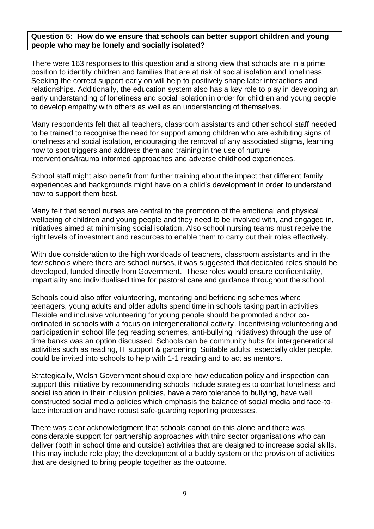#### **Question 5: How do we ensure that schools can better support children and young people who may be lonely and socially isolated?**

There were 163 responses to this question and a strong view that schools are in a prime position to identify children and families that are at risk of social isolation and loneliness. Seeking the correct support early on will help to positively shape later interactions and relationships. Additionally, the education system also has a key role to play in developing an early understanding of loneliness and social isolation in order for children and young people to develop empathy with others as well as an understanding of themselves.

Many respondents felt that all teachers, classroom assistants and other school staff needed to be trained to recognise the need for support among children who are exhibiting signs of loneliness and social isolation, encouraging the removal of any associated stigma, learning how to spot triggers and address them and training in the use of nurture interventions/trauma informed approaches and adverse childhood experiences.

School staff might also benefit from further training about the impact that different family experiences and backgrounds might have on a child's development in order to understand how to support them best.

Many felt that school nurses are central to the promotion of the emotional and physical wellbeing of children and young people and they need to be involved with, and engaged in, initiatives aimed at minimising social isolation. Also school nursing teams must receive the right levels of investment and resources to enable them to carry out their roles effectively.

With due consideration to the high workloads of teachers, classroom assistants and in the few schools where there are school nurses, it was suggested that dedicated roles should be developed, funded directly from Government. These roles would ensure confidentiality, impartiality and individualised time for pastoral care and guidance throughout the school.

Schools could also offer volunteering, mentoring and befriending schemes where teenagers, young adults and older adults spend time in schools taking part in activities. Flexible and inclusive volunteering for young people should be promoted and/or coordinated in schools with a focus on intergenerational activity. Incentivising volunteering and participation in school life (eg reading schemes, anti-bullying initiatives) through the use of time banks was an option discussed. Schools can be community hubs for intergenerational activities such as reading, IT support & gardening. Suitable adults, especially older people, could be invited into schools to help with 1-1 reading and to act as mentors.

Strategically, Welsh Government should explore how education policy and inspection can support this initiative by recommending schools include strategies to combat loneliness and social isolation in their inclusion policies, have a zero tolerance to bullying, have well constructed social media policies which emphasis the balance of social media and face-toface interaction and have robust safe-guarding reporting processes.

There was clear acknowledgment that schools cannot do this alone and there was considerable support for partnership approaches with third sector organisations who can deliver (both in school time and outside) activities that are designed to increase social skills. This may include role play; the development of a buddy system or the provision of activities that are designed to bring people together as the outcome.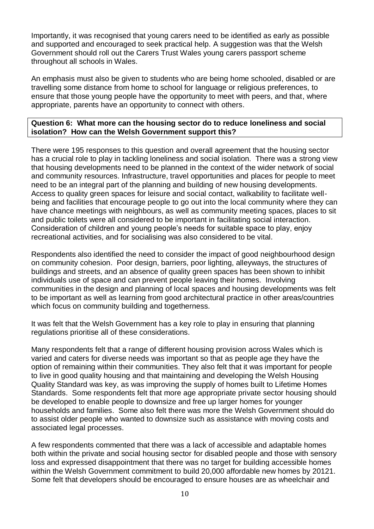Importantly, it was recognised that young carers need to be identified as early as possible and supported and encouraged to seek practical help. A suggestion was that the Welsh Government should roll out the Carers Trust Wales young carers passport scheme throughout all schools in Wales.

An emphasis must also be given to students who are being home schooled, disabled or are travelling some distance from home to school for language or religious preferences, to ensure that those young people have the opportunity to meet with peers, and that, where appropriate, parents have an opportunity to connect with others.

#### **Question 6: What more can the housing sector do to reduce loneliness and social isolation? How can the Welsh Government support this?**

There were 195 responses to this question and overall agreement that the housing sector has a crucial role to play in tackling loneliness and social isolation. There was a strong view that housing developments need to be planned in the context of the wider network of social and community resources. Infrastructure, travel opportunities and places for people to meet need to be an integral part of the planning and building of new housing developments. Access to quality green spaces for leisure and social contact, walkability to facilitate wellbeing and facilities that encourage people to go out into the local community where they can have chance meetings with neighbours, as well as community meeting spaces, places to sit and public toilets were all considered to be important in facilitating social interaction. Consideration of children and young people's needs for suitable space to play, enjoy recreational activities, and for socialising was also considered to be vital.

Respondents also identified the need to consider the impact of good neighbourhood design on community cohesion. Poor design, barriers, poor lighting, alleyways, the structures of buildings and streets, and an absence of quality green spaces has been shown to inhibit individuals use of space and can prevent people leaving their homes. Involving communities in the design and planning of local spaces and housing developments was felt to be important as well as learning from good architectural practice in other areas/countries which focus on community building and togetherness.

It was felt that the Welsh Government has a key role to play in ensuring that planning regulations prioritise all of these considerations.

Many respondents felt that a range of different housing provision across Wales which is varied and caters for diverse needs was important so that as people age they have the option of remaining within their communities. They also felt that it was important for people to live in good quality housing and that maintaining and developing the Welsh Housing Quality Standard was key, as was improving the supply of homes built to Lifetime Homes Standards. Some respondents felt that more age appropriate private sector housing should be developed to enable people to downsize and free up larger homes for younger households and families. Some also felt there was more the Welsh Government should do to assist older people who wanted to downsize such as assistance with moving costs and associated legal processes.

A few respondents commented that there was a lack of accessible and adaptable homes both within the private and social housing sector for disabled people and those with sensory loss and expressed disappointment that there was no target for building accessible homes within the Welsh Government commitment to build 20,000 affordable new homes by 20121. Some felt that developers should be encouraged to ensure houses are as wheelchair and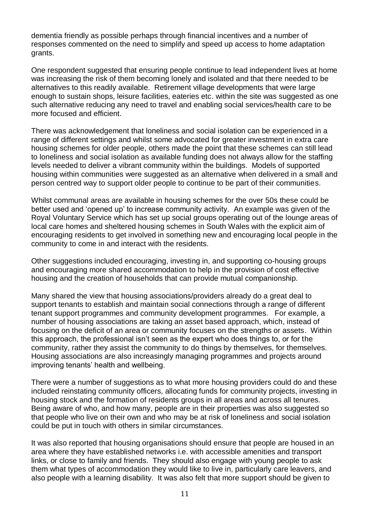dementia friendly as possible perhaps through financial incentives and a number of responses commented on the need to simplify and speed up access to home adaptation grants.

One respondent suggested that ensuring people continue to lead independent lives at home was increasing the risk of them becoming lonely and isolated and that there needed to be alternatives to this readily available. Retirement village developments that were large enough to sustain shops, leisure facilities, eateries etc. within the site was suggested as one such alternative reducing any need to travel and enabling social services/health care to be more focused and efficient.

There was acknowledgement that loneliness and social isolation can be experienced in a range of different settings and whilst some advocated for greater investment in extra care housing schemes for older people, others made the point that these schemes can still lead to loneliness and social isolation as available funding does not always allow for the staffing levels needed to deliver a vibrant community within the buildings. Models of supported housing within communities were suggested as an alternative when delivered in a small and person centred way to support older people to continue to be part of their communities.

Whilst communal areas are available in housing schemes for the over 50s these could be better used and 'opened up' to increase community activity. An example was given of the Royal Voluntary Service which has set up social groups operating out of the lounge areas of local care homes and sheltered housing schemes in South Wales with the explicit aim of encouraging residents to get involved in something new and encouraging local people in the community to come in and interact with the residents.

Other suggestions included encouraging, investing in, and supporting co-housing groups and encouraging more shared accommodation to help in the provision of cost effective housing and the creation of households that can provide mutual companionship.

Many shared the view that housing associations/providers already do a great deal to support tenants to establish and maintain social connections through a range of different tenant support programmes and community development programmes. For example, a number of housing associations are taking an asset based approach, which, instead of focusing on the deficit of an area or community focuses on the strengths or assets. Within this approach, the professional isn't seen as the expert who does things to, or for the community, rather they assist the community to do things by themselves, for themselves. Housing associations are also increasingly managing programmes and projects around improving tenants' health and wellbeing.

There were a number of suggestions as to what more housing providers could do and these included reinstating community officers, allocating funds for community projects, investing in housing stock and the formation of residents groups in all areas and across all tenures. Being aware of who, and how many, people are in their properties was also suggested so that people who live on their own and who may be at risk of loneliness and social isolation could be put in touch with others in similar circumstances.

It was also reported that housing organisations should ensure that people are housed in an area where they have established networks i.e. with accessible amenities and transport links, or close to family and friends. They should also engage with young people to ask them what types of accommodation they would like to live in, particularly care leavers, and also people with a learning disability. It was also felt that more support should be given to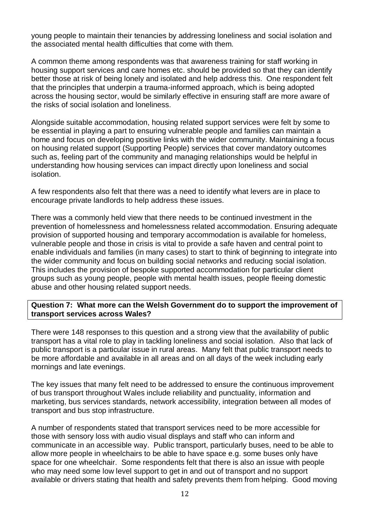young people to maintain their tenancies by addressing loneliness and social isolation and the associated mental health difficulties that come with them.

A common theme among respondents was that awareness training for staff working in housing support services and care homes etc. should be provided so that they can identify better those at risk of being lonely and isolated and help address this. One respondent felt that the principles that underpin a trauma-informed approach, which is being adopted across the housing sector, would be similarly effective in ensuring staff are more aware of the risks of social isolation and loneliness.

Alongside suitable accommodation, housing related support services were felt by some to be essential in playing a part to ensuring vulnerable people and families can maintain a home and focus on developing positive links with the wider community. Maintaining a focus on housing related support (Supporting People) services that cover mandatory outcomes such as, feeling part of the community and managing relationships would be helpful in understanding how housing services can impact directly upon loneliness and social isolation.

A few respondents also felt that there was a need to identify what levers are in place to encourage private landlords to help address these issues.

There was a commonly held view that there needs to be continued investment in the prevention of homelessness and homelessness related accommodation. Ensuring adequate provision of supported housing and temporary accommodation is available for homeless, vulnerable people and those in crisis is vital to provide a safe haven and central point to enable individuals and families (in many cases) to start to think of beginning to integrate into the wider community and focus on building social networks and reducing social isolation. This includes the provision of bespoke supported accommodation for particular client groups such as young people, people with mental health issues, people fleeing domestic abuse and other housing related support needs.

#### **Question 7: What more can the Welsh Government do to support the improvement of transport services across Wales?**

There were 148 responses to this question and a strong view that the availability of public transport has a vital role to play in tackling loneliness and social isolation. Also that lack of public transport is a particular issue in rural areas. Many felt that public transport needs to be more affordable and available in all areas and on all days of the week including early mornings and late evenings.

The key issues that many felt need to be addressed to ensure the continuous improvement of bus transport throughout Wales include reliability and punctuality, information and marketing, bus services standards, network accessibility, integration between all modes of transport and bus stop infrastructure.

A number of respondents stated that transport services need to be more accessible for those with sensory loss with audio visual displays and staff who can inform and communicate in an accessible way. Public transport, particularly buses, need to be able to allow more people in wheelchairs to be able to have space e.g. some buses only have space for one wheelchair. Some respondents felt that there is also an issue with people who may need some low level support to get in and out of transport and no support available or drivers stating that health and safety prevents them from helping. Good moving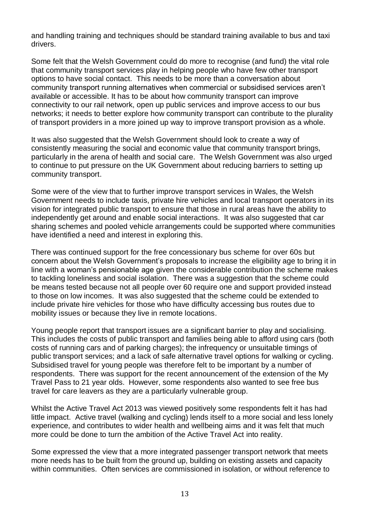and handling training and techniques should be standard training available to bus and taxi drivers.

Some felt that the Welsh Government could do more to recognise (and fund) the vital role that community transport services play in helping people who have few other transport options to have social contact. This needs to be more than a conversation about community transport running alternatives when commercial or subsidised services aren't available or accessible. It has to be about how community transport can improve connectivity to our rail network, open up public services and improve access to our bus networks; it needs to better explore how community transport can contribute to the plurality of transport providers in a more joined up way to improve transport provision as a whole.

It was also suggested that the Welsh Government should look to create a way of consistently measuring the social and economic value that community transport brings, particularly in the arena of health and social care. The Welsh Government was also urged to continue to put pressure on the UK Government about reducing barriers to setting up community transport.

Some were of the view that to further improve transport services in Wales, the Welsh Government needs to include taxis, private hire vehicles and local transport operators in its vision for integrated public transport to ensure that those in rural areas have the ability to independently get around and enable social interactions. It was also suggested that car sharing schemes and pooled vehicle arrangements could be supported where communities have identified a need and interest in exploring this.

There was continued support for the free concessionary bus scheme for over 60s but concern about the Welsh Government's proposals to increase the eligibility age to bring it in line with a woman's pensionable age given the considerable contribution the scheme makes to tackling loneliness and social isolation. There was a suggestion that the scheme could be means tested because not all people over 60 require one and support provided instead to those on low incomes. It was also suggested that the scheme could be extended to include private hire vehicles for those who have difficulty accessing bus routes due to mobility issues or because they live in remote locations.

Young people report that transport issues are a significant barrier to play and socialising. This includes the costs of public transport and families being able to afford using cars (both costs of running cars and of parking charges); the infrequency or unsuitable timings of public transport services; and a lack of safe alternative travel options for walking or cycling. Subsidised travel for young people was therefore felt to be important by a number of respondents. There was support for the recent announcement of the extension of the My Travel Pass to 21 year olds. However, some respondents also wanted to see free bus travel for care leavers as they are a particularly vulnerable group.

Whilst the Active Travel Act 2013 was viewed positively some respondents felt it has had little impact. Active travel (walking and cycling) lends itself to a more social and less lonely experience, and contributes to wider health and wellbeing aims and it was felt that much more could be done to turn the ambition of the Active Travel Act into reality.

Some expressed the view that a more integrated passenger transport network that meets more needs has to be built from the ground up, building on existing assets and capacity within communities. Often services are commissioned in isolation, or without reference to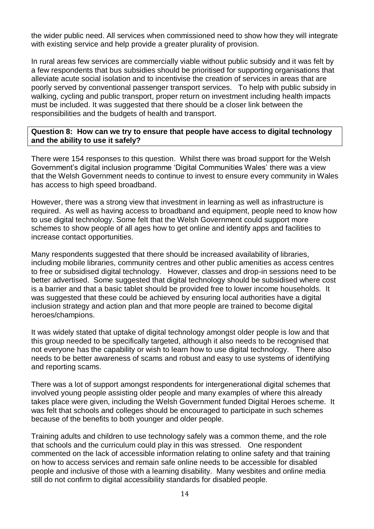the wider public need. All services when commissioned need to show how they will integrate with existing service and help provide a greater plurality of provision.

In rural areas few services are commercially viable without public subsidy and it was felt by a few respondents that bus subsidies should be prioritised for supporting organisations that alleviate acute social isolation and to incentivise the creation of services in areas that are poorly served by conventional passenger transport services. To help with public subsidy in walking, cycling and public transport, proper return on investment including health impacts must be included. It was suggested that there should be a closer link between the responsibilities and the budgets of health and transport.

#### **Question 8: How can we try to ensure that people have access to digital technology and the ability to use it safely?**

There were 154 responses to this question. Whilst there was broad support for the Welsh Government's digital inclusion programme 'Digital Communities Wales' there was a view that the Welsh Government needs to continue to invest to ensure every community in Wales has access to high speed broadband.

However, there was a strong view that investment in learning as well as infrastructure is required. As well as having access to broadband and equipment, people need to know how to use digital technology. Some felt that the Welsh Government could support more schemes to show people of all ages how to get online and identify apps and facilities to increase contact opportunities.

Many respondents suggested that there should be increased availability of libraries, including mobile libraries, community centres and other public amenities as access centres to free or subsidised digital technology. However, classes and drop-in sessions need to be better advertised. Some suggested that digital technology should be subsidised where cost is a barrier and that a basic tablet should be provided free to lower income households. It was suggested that these could be achieved by ensuring local authorities have a digital inclusion strategy and action plan and that more people are trained to become digital heroes/champions.

It was widely stated that uptake of digital technology amongst older people is low and that this group needed to be specifically targeted, although it also needs to be recognised that not everyone has the capability or wish to learn how to use digital technology. There also needs to be better awareness of scams and robust and easy to use systems of identifying and reporting scams.

There was a lot of support amongst respondents for intergenerational digital schemes that involved young people assisting older people and many examples of where this already takes place were given, including the Welsh Government funded Digital Heroes scheme. It was felt that schools and colleges should be encouraged to participate in such schemes because of the benefits to both younger and older people.

Training adults and children to use technology safely was a common theme, and the role that schools and the curriculum could play in this was stressed. One respondent commented on the lack of accessible information relating to online safety and that training on how to access services and remain safe online needs to be accessible for disabled people and inclusive of those with a learning disability. Many wesbites and online media still do not confirm to digital accessibility standards for disabled people.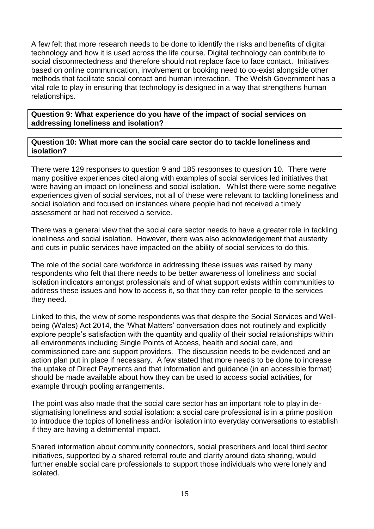A few felt that more research needs to be done to identify the risks and benefits of digital technology and how it is used across the life course. Digital technology can contribute to social disconnectedness and therefore should not replace face to face contact. Initiatives based on online communication, involvement or booking need to co-exist alongside other methods that facilitate social contact and human interaction. The Welsh Government has a vital role to play in ensuring that technology is designed in a way that strengthens human relationships.

**Question 9: What experience do you have of the impact of social services on addressing loneliness and isolation?**

**Question 10: What more can the social care sector do to tackle loneliness and isolation?**

There were 129 responses to question 9 and 185 responses to question 10. There were many positive experiences cited along with examples of social services led initiatives that were having an impact on loneliness and social isolation. Whilst there were some negative experiences given of social services, not all of these were relevant to tackling loneliness and social isolation and focused on instances where people had not received a timely assessment or had not received a service.

There was a general view that the social care sector needs to have a greater role in tackling loneliness and social isolation. However, there was also acknowledgement that austerity and cuts in public services have impacted on the ability of social services to do this.

The role of the social care workforce in addressing these issues was raised by many respondents who felt that there needs to be better awareness of loneliness and social isolation indicators amongst professionals and of what support exists within communities to address these issues and how to access it, so that they can refer people to the services they need.

Linked to this, the view of some respondents was that despite the Social Services and Wellbeing (Wales) Act 2014, the 'What Matters' conversation does not routinely and explicitly explore people's satisfaction with the quantity and quality of their social relationships within all environments including Single Points of Access, health and social care, and commissioned care and support providers. The discussion needs to be evidenced and an action plan put in place if necessary. A few stated that more needs to be done to increase the uptake of Direct Payments and that information and guidance (in an accessible format) should be made available about how they can be used to access social activities, for example through pooling arrangements.

The point was also made that the social care sector has an important role to play in destigmatising loneliness and social isolation: a social care professional is in a prime position to introduce the topics of loneliness and/or isolation into everyday conversations to establish if they are having a detrimental impact.

Shared information about community connectors, social prescribers and local third sector initiatives, supported by a shared referral route and clarity around data sharing, would further enable social care professionals to support those individuals who were lonely and isolated.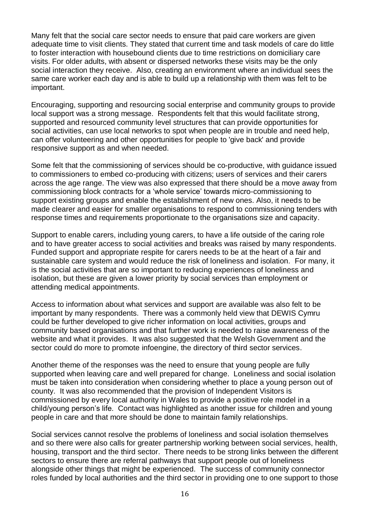Many felt that the social care sector needs to ensure that paid care workers are given adequate time to visit clients. They stated that current time and task models of care do little to foster interaction with housebound clients due to time restrictions on domiciliary care visits. For older adults, with absent or dispersed networks these visits may be the only social interaction they receive. Also, creating an environment where an individual sees the same care worker each day and is able to build up a relationship with them was felt to be important.

Encouraging, supporting and resourcing social enterprise and community groups to provide local support was a strong message. Respondents felt that this would facilitate strong, supported and resourced community level structures that can provide opportunities for social activities, can use local networks to spot when people are in trouble and need help, can offer volunteering and other opportunities for people to 'give back' and provide responsive support as and when needed.

Some felt that the commissioning of services should be co-productive, with guidance issued to commissioners to embed co-producing with citizens; users of services and their carers across the age range. The view was also expressed that there should be a move away from commissioning block contracts for a 'whole service' towards micro-commissioning to support existing groups and enable the establishment of new ones. Also, it needs to be made clearer and easier for smaller organisations to respond to commissioning tenders with response times and requirements proportionate to the organisations size and capacity.

Support to enable carers, including young carers, to have a life outside of the caring role and to have greater access to social activities and breaks was raised by many respondents. Funded support and appropriate respite for carers needs to be at the heart of a fair and sustainable care system and would reduce the risk of loneliness and isolation. For many, it is the social activities that are so important to reducing experiences of loneliness and isolation, but these are given a lower priority by social services than employment or attending medical appointments.

Access to information about what services and support are available was also felt to be important by many respondents. There was a commonly held view that DEWIS Cymru could be further developed to give richer information on local activities, groups and community based organisations and that further work is needed to raise awareness of the website and what it provides. It was also suggested that the Welsh Government and the sector could do more to promote infoengine, the directory of third sector services.

Another theme of the responses was the need to ensure that young people are fully supported when leaving care and well prepared for change. Loneliness and social isolation must be taken into consideration when considering whether to place a young person out of county. It was also recommended that the provision of Independent Visitors is commissioned by every local authority in Wales to provide a positive role model in a child/young person's life. Contact was highlighted as another issue for children and young people in care and that more should be done to maintain family relationships.

Social services cannot resolve the problems of loneliness and social isolation themselves and so there were also calls for greater partnership working between social services, health, housing, transport and the third sector. There needs to be strong links between the different sectors to ensure there are referral pathways that support people out of loneliness alongside other things that might be experienced. The success of community connector roles funded by local authorities and the third sector in providing one to one support to those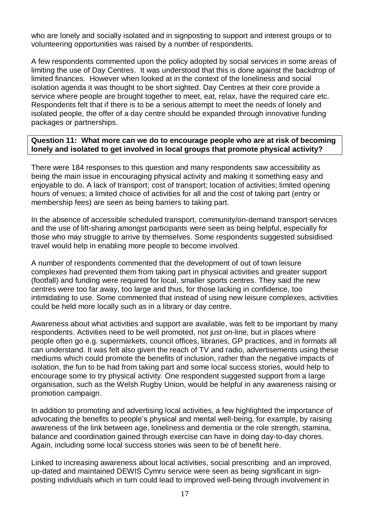who are lonely and socially isolated and in signposting to support and interest groups or to volunteering opportunities was raised by a number of respondents.

A few respondents commented upon the policy adopted by social services in some areas of limiting the use of Day Centres. It was understood that this is done against the backdrop of limited finances. However when looked at in the context of the loneliness and social isolation agenda it was thought to be short sighted. Day Centres at their core provide a service where people are brought together to meet, eat, relax, have the required care etc. Respondents felt that if there is to be a serious attempt to meet the needs of lonely and isolated people, the offer of a day centre should be expanded through innovative funding packages or partnerships.

#### **Question 11: What more can we do to encourage people who are at risk of becoming lonely and isolated to get involved in local groups that promote physical activity?**

There were 184 responses to this question and many respondents saw accessibility as being the main issue in encouraging physical activity and making it something easy and enjoyable to do. A lack of transport; cost of transport; location of activities; limited opening hours of venues; a limited choice of activities for all and the cost of taking part (entry or membership fees) are seen as being barriers to taking part.

In the absence of accessible scheduled transport, community/on-demand transport services and the use of lift-sharing amongst participants were seen as being helpful, especially for those who may struggle to arrive by themselves. Some respondents suggested subsidised travel would help in enabling more people to become involved.

A number of respondents commented that the development of out of town leisure complexes had prevented them from taking part in physical activities and greater support (footfall) and funding were required for local, smaller sports centres. They said the new centres were too far away, too large and thus, for those lacking in confidence, too intimidating to use. Some commented that instead of using new leisure complexes, activities could be held more locally such as in a library or day centre.

Awareness about what activities and support are available, was felt to be important by many respondents. Activities need to be well promoted, not just on-line, but in places where people often go e.g. supermarkets, council offices, libraries, GP practices, and in formats all can understand. It was felt also given the reach of TV and radio, advertisements using these mediums which could promote the benefits of inclusion, rather than the negative impacts of isolation, the fun to be had from taking part and some local success stories, would help to encourage some to try physical activity. One respondent suggested support from a large organisation, such as the Welsh Rugby Union, would be helpful in any awareness raising or promotion campaign.

In addition to promoting and advertising local activities, a few highlighted the importance of advocating the benefits to people's physical and mental well-being, for example, by raising awareness of the link between age, loneliness and dementia or the role strength, stamina, balance and coordination gained through exercise can have in doing day-to-day chores. Again, including some local success stories was seen to be of benefit here.

Linked to increasing awareness about local activities, social prescribing and an improved, up-dated and maintained DEWIS Cymru service were seen as being significant in signposting individuals which in turn could lead to improved well-being through involvement in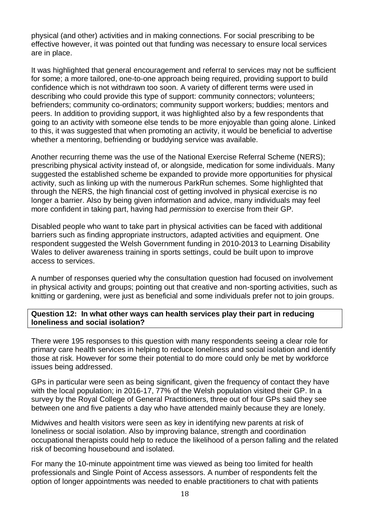physical (and other) activities and in making connections. For social prescribing to be effective however, it was pointed out that funding was necessary to ensure local services are in place.

It was highlighted that general encouragement and referral to services may not be sufficient for some; a more tailored, one-to-one approach being required, providing support to build confidence which is not withdrawn too soon. A variety of different terms were used in describing who could provide this type of support: community connectors; volunteers; befrienders; community co-ordinators; community support workers; buddies; mentors and peers. In addition to providing support, it was highlighted also by a few respondents that going to an activity with someone else tends to be more enjoyable than going alone. Linked to this, it was suggested that when promoting an activity, it would be beneficial to advertise whether a mentoring, befriending or buddying service was available.

Another recurring theme was the use of the National Exercise Referral Scheme (NERS); prescribing physical activity instead of, or alongside, medication for some individuals. Many suggested the established scheme be expanded to provide more opportunities for physical activity, such as linking up with the numerous ParkRun schemes. Some highlighted that through the NERS, the high financial cost of getting involved in physical exercise is no longer a barrier. Also by being given information and advice, many individuals may feel more confident in taking part, having had *permission* to exercise from their GP.

Disabled people who want to take part in physical activities can be faced with additional barriers such as finding appropriate instructors, adapted activities and equipment. One respondent suggested the Welsh Government funding in 2010-2013 to Learning Disability Wales to deliver awareness training in sports settings, could be built upon to improve access to services.

A number of responses queried why the consultation question had focused on involvement in physical activity and groups; pointing out that creative and non-sporting activities, such as knitting or gardening, were just as beneficial and some individuals prefer not to join groups.

#### **Question 12: In what other ways can health services play their part in reducing loneliness and social isolation?**

There were 195 responses to this question with many respondents seeing a clear role for primary care health services in helping to reduce loneliness and social isolation and identify those at risk. However for some their potential to do more could only be met by workforce issues being addressed.

GPs in particular were seen as being significant, given the frequency of contact they have with the local population; in 2016-17, 77% of the Welsh population visited their GP. In a survey by the Royal College of General Practitioners, three out of four GPs said they see between one and five patients a day who have attended mainly because they are lonely.

Midwives and health visitors were seen as key in identifying new parents at risk of loneliness or social isolation. Also by improving balance, strength and coordination occupational therapists could help to reduce the likelihood of a person falling and the related risk of becoming housebound and isolated.

For many the 10-minute appointment time was viewed as being too limited for health professionals and Single Point of Access assessors. A number of respondents felt the option of longer appointments was needed to enable practitioners to chat with patients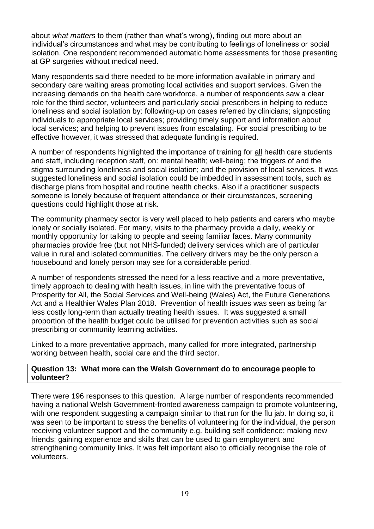about *what matters* to them (rather than what's wrong), finding out more about an individual's circumstances and what may be contributing to feelings of loneliness or social isolation. One respondent recommended automatic home assessments for those presenting at GP surgeries without medical need.

Many respondents said there needed to be more information available in primary and secondary care waiting areas promoting local activities and support services. Given the increasing demands on the health care workforce, a number of respondents saw a clear role for the third sector, volunteers and particularly social prescribers in helping to reduce loneliness and social isolation by: following-up on cases referred by clinicians; signposting individuals to appropriate local services; providing timely support and information about local services; and helping to prevent issues from escalating. For social prescribing to be effective however, it was stressed that adequate funding is required.

A number of respondents highlighted the importance of training for all health care students and staff, including reception staff, on: mental health; well-being; the triggers of and the stigma surrounding loneliness and social isolation; and the provision of local services. It was suggested loneliness and social isolation could be imbedded in assessment tools, such as discharge plans from hospital and routine health checks. Also if a practitioner suspects someone is lonely because of frequent attendance or their circumstances, screening questions could highlight those at risk.

The community pharmacy sector is very well placed to help patients and carers who maybe lonely or socially isolated. For many, visits to the pharmacy provide a daily, weekly or monthly opportunity for talking to people and seeing familiar faces. Many community pharmacies provide free (but not NHS-funded) delivery services which are of particular value in rural and isolated communities. The delivery drivers may be the only person a housebound and lonely person may see for a considerable period.

A number of respondents stressed the need for a less reactive and a more preventative, timely approach to dealing with health issues, in line with the preventative focus of Prosperity for All, the Social Services and Well-being (Wales) Act, the Future Generations Act and a Healthier Wales Plan 2018. Prevention of health issues was seen as being far less costly long-term than actually treating health issues. It was suggested a small proportion of the health budget could be utilised for prevention activities such as social prescribing or community learning activities.

Linked to a more preventative approach, many called for more integrated, partnership working between health, social care and the third sector.

#### **Question 13: What more can the Welsh Government do to encourage people to volunteer?**

There were 196 responses to this question. A large number of respondents recommended having a national Welsh Government-fronted awareness campaign to promote volunteering, with one respondent suggesting a campaign similar to that run for the flu jab. In doing so, it was seen to be important to stress the benefits of volunteering for the individual, the person receiving volunteer support and the community e.g. building self confidence; making new friends; gaining experience and skills that can be used to gain employment and strengthening community links. It was felt important also to officially recognise the role of volunteers.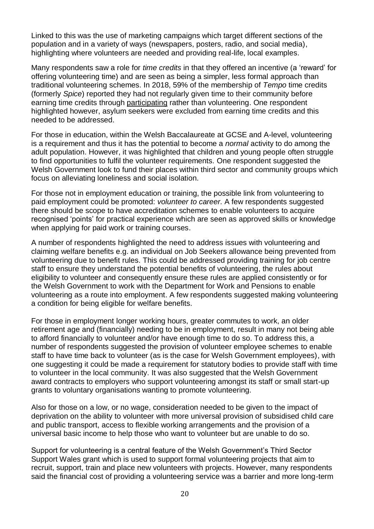Linked to this was the use of marketing campaigns which target different sections of the population and in a variety of ways (newspapers, posters, radio, and social media), highlighting where volunteers are needed and providing real-life, local examples.

Many respondents saw a role for *time credits* in that they offered an incentive (a 'reward' for offering volunteering time) and are seen as being a simpler, less formal approach than traditional volunteering schemes. In 2018, 59% of the membership of *Tempo* time credits (formerly *Spice*) reported they had not regularly given time to their community before earning time credits through participating rather than volunteering. One respondent highlighted however, asylum seekers were excluded from earning time credits and this needed to be addressed.

For those in education, within the Welsh Baccalaureate at GCSE and A-level, volunteering is a requirement and thus it has the potential to become a *normal* activity to do among the adult population. However, it was highlighted that children and young people often struggle to find opportunities to fulfil the volunteer requirements. One respondent suggested the Welsh Government look to fund their places within third sector and community groups which focus on alleviating loneliness and social isolation.

For those not in employment education or training, the possible link from volunteering to paid employment could be promoted: *volunteer to career.* A few respondents suggested there should be scope to have accreditation schemes to enable volunteers to acquire recognised 'points' for practical experience which are seen as approved skills or knowledge when applying for paid work or training courses.

A number of respondents highlighted the need to address issues with volunteering and claiming welfare benefits e.g. an individual on Job Seekers allowance being prevented from volunteering due to benefit rules. This could be addressed providing training for job centre staff to ensure they understand the potential benefits of volunteering, the rules about eligibility to volunteer and consequently ensure these rules are applied consistently or for the Welsh Government to work with the Department for Work and Pensions to enable volunteering as a route into employment. A few respondents suggested making volunteering a condition for being eligible for welfare benefits.

For those in employment longer working hours, greater commutes to work, an older retirement age and (financially) needing to be in employment, result in many not being able to afford financially to volunteer and/or have enough time to do so. To address this, a number of respondents suggested the provision of volunteer employee schemes to enable staff to have time back to volunteer (as is the case for Welsh Government employees), with one suggesting it could be made a requirement for statutory bodies to provide staff with time to volunteer in the local community. It was also suggested that the Welsh Government award contracts to employers who support volunteering amongst its staff or small start-up grants to voluntary organisations wanting to promote volunteering.

Also for those on a low, or no wage, consideration needed to be given to the impact of deprivation on the ability to volunteer with more universal provision of subsidised child care and public transport, access to flexible working arrangements and the provision of a universal basic income to help those who want to volunteer but are unable to do so.

Support for volunteering is a central feature of the Welsh Government's Third Sector Support Wales grant which is used to support formal volunteering projects that aim to recruit, support, train and place new volunteers with projects. However, many respondents said the financial cost of providing a volunteering service was a barrier and more long-term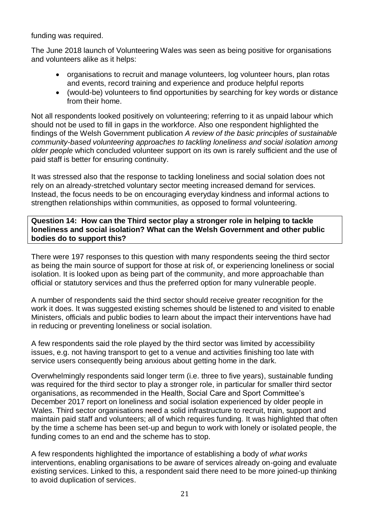funding was required.

The June 2018 launch of Volunteering Wales was seen as being positive for organisations and volunteers alike as it helps:

- organisations to recruit and manage volunteers, log volunteer hours, plan rotas and events, record training and experience and produce helpful reports
- (would-be) volunteers to find opportunities by searching for key words or distance from their home.

Not all respondents looked positively on volunteering; referring to it as unpaid labour which should not be used to fill in gaps in the workforce. Also one respondent highlighted the findings of the Welsh Government publication *A review of the basic principles of sustainable community-based volunteering approaches to tackling loneliness and social isolation among older people* which concluded volunteer support on its own is rarely sufficient and the use of paid staff is better for ensuring continuity.

It was stressed also that the response to tackling loneliness and social solation does not rely on an already-stretched voluntary sector meeting increased demand for services. Instead, the focus needs to be on encouraging everyday kindness and informal actions to strengthen relationships within communities, as opposed to formal volunteering.

**Question 14: How can the Third sector play a stronger role in helping to tackle loneliness and social isolation? What can the Welsh Government and other public bodies do to support this?**

There were 197 responses to this question with many respondents seeing the third sector as being the main source of support for those at risk of, or experiencing loneliness or social isolation. It is looked upon as being part of the community, and more approachable than official or statutory services and thus the preferred option for many vulnerable people.

A number of respondents said the third sector should receive greater recognition for the work it does. It was suggested existing schemes should be listened to and visited to enable Ministers, officials and public bodies to learn about the impact their interventions have had in reducing or preventing loneliness or social isolation.

A few respondents said the role played by the third sector was limited by accessibility issues, e.g. not having transport to get to a venue and activities finishing too late with service users consequently being anxious about getting home in the dark.

Overwhelmingly respondents said longer term (i.e. three to five years), sustainable funding was required for the third sector to play a stronger role, in particular for smaller third sector organisations, as recommended in the Health, Social Care and Sport Committee's December 2017 report on loneliness and social isolation experienced by older people in Wales. Third sector organisations need a solid infrastructure to recruit, train, support and maintain paid staff and volunteers; all of which requires funding. It was highlighted that often by the time a scheme has been set-up and begun to work with lonely or isolated people, the funding comes to an end and the scheme has to stop.

A few respondents highlighted the importance of establishing a body of *what works* interventions, enabling organisations to be aware of services already on-going and evaluate existing services. Linked to this, a respondent said there need to be more joined-up thinking to avoid duplication of services.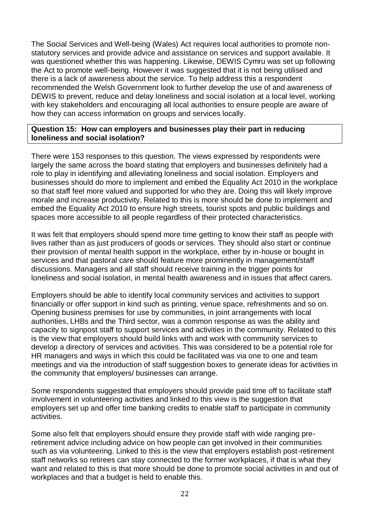The Social Services and Well-being (Wales) Act requires local authorities to promote nonstatutory services and provide advice and assistance on services and support available. It was questioned whether this was happening. Likewise, DEWIS Cymru was set up following the Act to promote well-being. However it was suggested that it is not being utilised and there is a lack of awareness about the service. To help address this a respondent recommended the Welsh Government look to further develop the use of and awareness of DEWIS to prevent, reduce and delay loneliness and social isolation at a local level, working with key stakeholders and encouraging all local authorities to ensure people are aware of how they can access information on groups and services locally.

#### **Question 15: How can employers and businesses play their part in reducing loneliness and social isolation?**

There were 153 responses to this question. The views expressed by respondents were largely the same across the board stating that employers and businesses definitely had a role to play in identifying and alleviating loneliness and social isolation. Employers and businesses should do more to implement and embed the Equality Act 2010 in the workplace so that staff feel more valued and supported for who they are. Doing this will likely improve morale and increase productivity. Related to this is more should be done to implement and embed the Equality Act 2010 to ensure high streets, tourist spots and public buildings and spaces more accessible to all people regardless of their protected characteristics.

It was felt that employers should spend more time getting to know their staff as people with lives rather than as just producers of goods or services. They should also start or continue their provision of mental health support in the workplace, either by in-house or bought in services and that pastoral care should feature more prominently in management/staff discussions. Managers and all staff should receive training in the trigger points for loneliness and social isolation, in mental health awareness and in issues that affect carers.

Employers should be able to identify local community services and activities to support financially or offer support in kind such as printing, venue space, refreshments and so on. Opening business premises for use by communities, in joint arrangements with local authorities, LHBs and the Third sector, was a common response as was the ability and capacity to signpost staff to support services and activities in the community. Related to this is the view that employers should build links with and work with community services to develop a directory of services and activities. This was considered to be a potential role for HR managers and ways in which this could be facilitated was via one to one and team meetings and via the introduction of staff suggestion boxes to generate ideas for activities in the community that employers/ businesses can arrange.

Some respondents suggested that employers should provide paid time off to facilitate staff involvement in volunteering activities and linked to this view is the suggestion that employers set up and offer time banking credits to enable staff to participate in community activities.

Some also felt that employers should ensure they provide staff with wide ranging preretirement advice including advice on how people can get involved in their communities such as via volunteering. Linked to this is the view that employers establish post-retirement staff networks so retirees can stay connected to the former workplaces, if that is what they want and related to this is that more should be done to promote social activities in and out of workplaces and that a budget is held to enable this.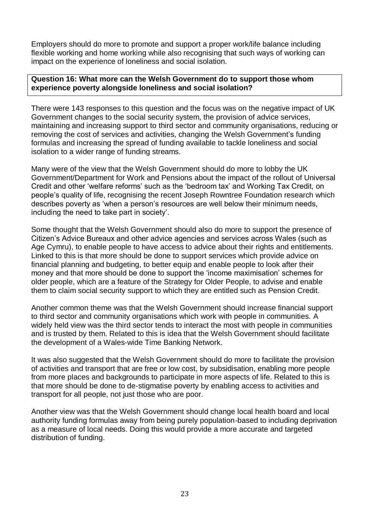Employers should do more to promote and support a proper work/life balance including flexible working and home working while also recognising that such ways of working can impact on the experience of loneliness and social isolation.

#### **Question 16: What more can the Welsh Government do to support those whom experience poverty alongside loneliness and social isolation?**

There were 143 responses to this question and the focus was on the negative impact of UK Government changes to the social security system, the provision of advice services, maintaining and increasing support to third sector and community organisations, reducing or removing the cost of services and activities, changing the Welsh Government's funding formulas and increasing the spread of funding available to tackle loneliness and social isolation to a wider range of funding streams.

Many were of the view that the Welsh Government should do more to lobby the UK Government/Department for Work and Pensions about the impact of the rollout of Universal Credit and other 'welfare reforms' such as the 'bedroom tax' and Working Tax Credit, on people's quality of life, recognising the recent Joseph Rowntree Foundation research which describes poverty as 'when a person's resources are well below their minimum needs, including the need to take part in society'.

Some thought that the Welsh Government should also do more to support the presence of Citizen's Advice Bureaux and other advice agencies and services across Wales (such as Age Cymru), to enable people to have access to advice about their rights and entitlements. Linked to this is that more should be done to support services which provide advice on financial planning and budgeting, to better equip and enable people to look after their money and that more should be done to support the 'income maximisation' schemes for older people, which are a feature of the Strategy for Older People, to advise and enable them to claim social security support to which they are entitled such as Pension Credit.

Another common theme was that the Welsh Government should increase financial support to third sector and community organisations which work with people in communities. A widely held view was the third sector tends to interact the most with people in communities and is trusted by them. Related to this is idea that the Welsh Government should facilitate the development of a Wales-wide Time Banking Network.

It was also suggested that the Welsh Government should do more to facilitate the provision of activities and transport that are free or low cost, by subsidisation, enabling more people from more places and backgrounds to participate in more aspects of life. Related to this is that more should be done to de-stigmatise poverty by enabling access to activities and transport for all people, not just those who are poor.

Another view was that the Welsh Government should change local health board and local authority funding formulas away from being purely population-based to including deprivation as a measure of local needs. Doing this would provide a more accurate and targeted distribution of funding.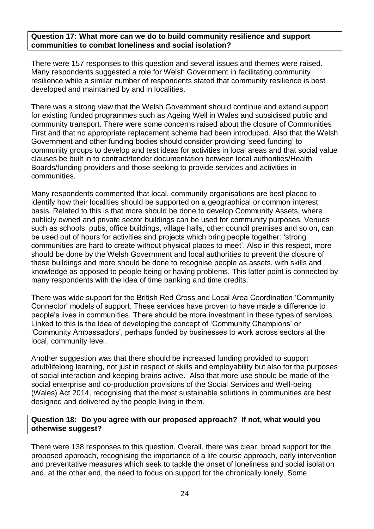#### **Question 17: What more can we do to build community resilience and support communities to combat loneliness and social isolation?**

There were 157 responses to this question and several issues and themes were raised. Many respondents suggested a role for Welsh Government in facilitating community resilience while a similar number of respondents stated that community resilience is best developed and maintained by and in localities.

There was a strong view that the Welsh Government should continue and extend support for existing funded programmes such as Ageing Well in Wales and subsidised public and community transport. There were some concerns raised about the closure of Communities First and that no appropriate replacement scheme had been introduced. Also that the Welsh Government and other funding bodies should consider providing 'seed funding' to community groups to develop and test ideas for activities in local areas and that social value clauses be built in to contract/tender documentation between local authorities/Health Boards/funding providers and those seeking to provide services and activities in communities.

Many respondents commented that local, community organisations are best placed to identify how their localities should be supported on a geographical or common interest basis. Related to this is that more should be done to develop Community Assets, where publicly owned and private sector buildings can be used for community purposes. Venues such as schools, pubs, office buildings, village halls, other council premises and so on, can be used out of hours for activities and projects which bring people together: 'strong communities are hard to create without physical places to meet'. Also in this respect, more should be done by the Welsh Government and local authorities to prevent the closure of these buildings and more should be done to recognise people as assets, with skills and knowledge as opposed to people being or having problems. This latter point is connected by many respondents with the idea of time banking and time credits.

There was wide support for the British Red Cross and Local Area Coordination 'Community Connector' models of support. These services have proven to have made a difference to people's lives in communities. There should be more investment in these types of services. Linked to this is the idea of developing the concept of 'Community Champions' or 'Community Ambassadors', perhaps funded by businesses to work across sectors at the local, community level.

Another suggestion was that there should be increased funding provided to support adult/lifelong learning, not just in respect of skills and employability but also for the purposes of social interaction and keeping brains active. Also that more use should be made of the social enterprise and co-production provisions of the Social Services and Well-being (Wales) Act 2014, recognising that the most sustainable solutions in communities are best designed and delivered by the people living in them.

#### **Question 18: Do you agree with our proposed approach? If not, what would you otherwise suggest?**

There were 138 responses to this question. Overall, there was clear, broad support for the proposed approach, recognising the importance of a life course approach, early intervention and preventative measures which seek to tackle the onset of loneliness and social isolation and, at the other end, the need to focus on support for the chronically lonely. Some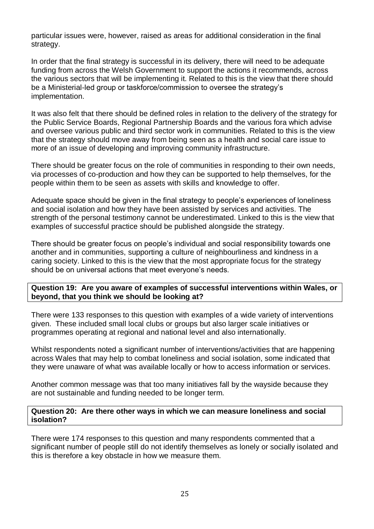particular issues were, however, raised as areas for additional consideration in the final strategy.

In order that the final strategy is successful in its delivery, there will need to be adequate funding from across the Welsh Government to support the actions it recommends, across the various sectors that will be implementing it. Related to this is the view that there should be a Ministerial-led group or taskforce/commission to oversee the strategy's implementation.

It was also felt that there should be defined roles in relation to the delivery of the strategy for the Public Service Boards, Regional Partnership Boards and the various fora which advise and oversee various public and third sector work in communities. Related to this is the view that the strategy should move away from being seen as a health and social care issue to more of an issue of developing and improving community infrastructure.

There should be greater focus on the role of communities in responding to their own needs, via processes of co-production and how they can be supported to help themselves, for the people within them to be seen as assets with skills and knowledge to offer.

Adequate space should be given in the final strategy to people's experiences of loneliness and social isolation and how they have been assisted by services and activities. The strength of the personal testimony cannot be underestimated. Linked to this is the view that examples of successful practice should be published alongside the strategy.

There should be greater focus on people's individual and social responsibility towards one another and in communities, supporting a culture of neighbourliness and kindness in a caring society. Linked to this is the view that the most appropriate focus for the strategy should be on universal actions that meet everyone's needs.

**Question 19: Are you aware of examples of successful interventions within Wales, or beyond, that you think we should be looking at?**

There were 133 responses to this question with examples of a wide variety of interventions given. These included small local clubs or groups but also larger scale initiatives or programmes operating at regional and national level and also internationally.

Whilst respondents noted a significant number of interventions/activities that are happening across Wales that may help to combat loneliness and social isolation, some indicated that they were unaware of what was available locally or how to access information or services.

Another common message was that too many initiatives fall by the wayside because they are not sustainable and funding needed to be longer term.

#### **Question 20: Are there other ways in which we can measure loneliness and social isolation?**

There were 174 responses to this question and many respondents commented that a significant number of people still do not identify themselves as lonely or socially isolated and this is therefore a key obstacle in how we measure them.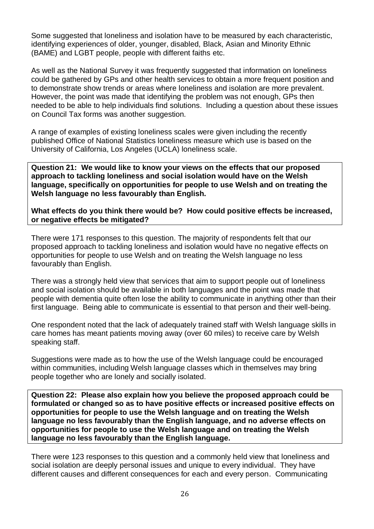Some suggested that loneliness and isolation have to be measured by each characteristic, identifying experiences of older, younger, disabled, Black, Asian and Minority Ethnic (BAME) and LGBT people, people with different faiths etc.

As well as the National Survey it was frequently suggested that information on loneliness could be gathered by GPs and other health services to obtain a more frequent position and to demonstrate show trends or areas where loneliness and isolation are more prevalent. However, the point was made that identifying the problem was not enough, GPs then needed to be able to help individuals find solutions. Including a question about these issues on Council Tax forms was another suggestion.

A range of examples of existing loneliness scales were given including the recently published Office of National Statistics loneliness measure which use is based on the University of California, Los Angeles (UCLA) loneliness scale.

**Question 21: We would like to know your views on the effects that our proposed approach to tackling loneliness and social isolation would have on the Welsh language, specifically on opportunities for people to use Welsh and on treating the Welsh language no less favourably than English.**

**What effects do you think there would be? How could positive effects be increased, or negative effects be mitigated?**

There were 171 responses to this question. The majority of respondents felt that our proposed approach to tackling loneliness and isolation would have no negative effects on opportunities for people to use Welsh and on treating the Welsh language no less favourably than English.

There was a strongly held view that services that aim to support people out of loneliness and social isolation should be available in both languages and the point was made that people with dementia quite often lose the ability to communicate in anything other than their first language. Being able to communicate is essential to that person and their well-being.

One respondent noted that the lack of adequately trained staff with Welsh language skills in care homes has meant patients moving away (over 60 miles) to receive care by Welsh speaking staff.

Suggestions were made as to how the use of the Welsh language could be encouraged within communities, including Welsh language classes which in themselves may bring people together who are lonely and socially isolated.

**Question 22: Please also explain how you believe the proposed approach could be formulated or changed so as to have positive effects or increased positive effects on opportunities for people to use the Welsh language and on treating the Welsh language no less favourably than the English language, and no adverse effects on opportunities for people to use the Welsh language and on treating the Welsh language no less favourably than the English language.**

There were 123 responses to this question and a commonly held view that loneliness and social isolation are deeply personal issues and unique to every individual. They have different causes and different consequences for each and every person. Communicating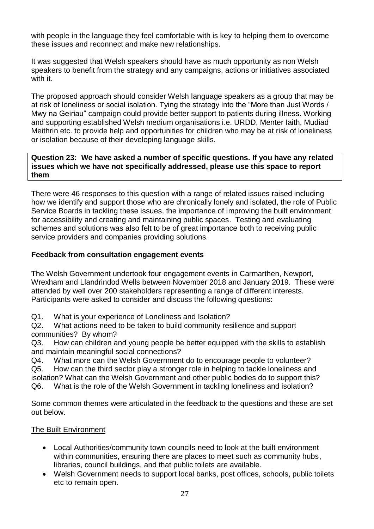with people in the language they feel comfortable with is key to helping them to overcome these issues and reconnect and make new relationships.

It was suggested that Welsh speakers should have as much opportunity as non Welsh speakers to benefit from the strategy and any campaigns, actions or initiatives associated with it.

The proposed approach should consider Welsh language speakers as a group that may be at risk of loneliness or social isolation. Tying the strategy into the "More than Just Words / Mwy na Geiriau" campaign could provide better support to patients during illness. Working and supporting established Welsh medium organisations i.e. URDD, Menter Iaith, Mudiad Meithrin etc. to provide help and opportunities for children who may be at risk of loneliness or isolation because of their developing language skills.

#### **Question 23: We have asked a number of specific questions. If you have any related issues which we have not specifically addressed, please use this space to report them**

There were 46 responses to this question with a range of related issues raised including how we identify and support those who are chronically lonely and isolated, the role of Public Service Boards in tackling these issues, the importance of improving the built environment for accessibility and creating and maintaining public spaces. Testing and evaluating schemes and solutions was also felt to be of great importance both to receiving public service providers and companies providing solutions.

## **Feedback from consultation engagement events**

The Welsh Government undertook four engagement events in Carmarthen, Newport, Wrexham and Llandrindod Wells between November 2018 and January 2019. These were attended by well over 200 stakeholders representing a range of different interests. Participants were asked to consider and discuss the following questions:

Q1. What is your experience of Loneliness and Isolation?

Q2. What actions need to be taken to build community resilience and support communities? By whom?

Q3. How can children and young people be better equipped with the skills to establish and maintain meaningful social connections?

Q4. What more can the Welsh Government do to encourage people to volunteer?

Q5. How can the third sector play a stronger role in helping to tackle loneliness and isolation? What can the Welsh Government and other public bodies do to support this? Q6. What is the role of the Welsh Government in tackling loneliness and isolation?

Some common themes were articulated in the feedback to the questions and these are set out below.

# The Built Environment

- Local Authorities/community town councils need to look at the built environment within communities, ensuring there are places to meet such as community hubs, libraries, council buildings, and that public toilets are available.
- Welsh Government needs to support local banks, post offices, schools, public toilets etc to remain open.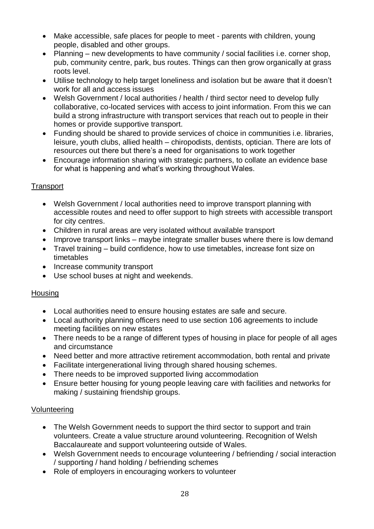- Make accessible, safe places for people to meet parents with children, young people, disabled and other groups.
- Planning new developments to have community / social facilities i.e. corner shop, pub, community centre, park, bus routes. Things can then grow organically at grass roots level.
- Utilise technology to help target loneliness and isolation but be aware that it doesn't work for all and access issues
- Welsh Government / local authorities / health / third sector need to develop fully collaborative, co-located services with access to joint information. From this we can build a strong infrastructure with transport services that reach out to people in their homes or provide supportive transport.
- Funding should be shared to provide services of choice in communities i.e. libraries, leisure, youth clubs, allied health – chiropodists, dentists, optician. There are lots of resources out there but there's a need for organisations to work together
- Encourage information sharing with strategic partners, to collate an evidence base for what is happening and what's working throughout Wales.

# **Transport**

- Welsh Government / local authorities need to improve transport planning with accessible routes and need to offer support to high streets with accessible transport for city centres.
- Children in rural areas are very isolated without available transport
- Improve transport links maybe integrate smaller buses where there is low demand
- Travel training build confidence, how to use timetables, increase font size on timetables
- Increase community transport
- Use school buses at night and weekends.

#### **Housing**

- Local authorities need to ensure housing estates are safe and secure.
- Local authority planning officers need to use section 106 agreements to include meeting facilities on new estates
- There needs to be a range of different types of housing in place for people of all ages and circumstance
- Need better and more attractive retirement accommodation, both rental and private
- Facilitate intergenerational living through shared housing schemes.
- There needs to be improved supported living accommodation
- Ensure better housing for young people leaving care with facilities and networks for making / sustaining friendship groups.

#### Volunteering

- The Welsh Government needs to support the third sector to support and train volunteers. Create a value structure around volunteering. Recognition of Welsh Baccalaureate and support volunteering outside of Wales.
- Welsh Government needs to encourage volunteering / befriending / social interaction / supporting / hand holding / befriending schemes
- Role of employers in encouraging workers to volunteer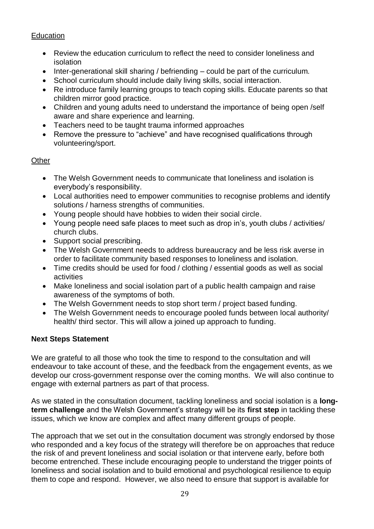## **Education**

- Review the education curriculum to reflect the need to consider loneliness and isolation
- Inter-generational skill sharing / befriending could be part of the curriculum.
- School curriculum should include daily living skills, social interaction.
- Re introduce family learning groups to teach coping skills. Educate parents so that children mirror good practice.
- Children and young adults need to understand the importance of being open /self aware and share experience and learning.
- Teachers need to be taught trauma informed approaches
- Remove the pressure to "achieve" and have recognised qualifications through volunteering/sport.

#### **Other**

- The Welsh Government needs to communicate that loneliness and isolation is everybody's responsibility.
- Local authorities need to empower communities to recognise problems and identify solutions / harness strengths of communities.
- Young people should have hobbies to widen their social circle.
- Young people need safe places to meet such as drop in's, youth clubs / activities/ church clubs.
- Support social prescribing.
- The Welsh Government needs to address bureaucracy and be less risk averse in order to facilitate community based responses to loneliness and isolation.
- Time credits should be used for food / clothing / essential goods as well as social activities
- Make loneliness and social isolation part of a public health campaign and raise awareness of the symptoms of both.
- The Welsh Government needs to stop short term / project based funding.
- The Welsh Government needs to encourage pooled funds between local authority/ health/ third sector. This will allow a joined up approach to funding.

# **Next Steps Statement**

We are grateful to all those who took the time to respond to the consultation and will endeavour to take account of these, and the feedback from the engagement events, as we develop our cross-government response over the coming months. We will also continue to engage with external partners as part of that process.

As we stated in the consultation document, tackling loneliness and social isolation is a **longterm challenge** and the Welsh Government's strategy will be its **first step** in tackling these issues, which we know are complex and affect many different groups of people.

The approach that we set out in the consultation document was strongly endorsed by those who responded and a key focus of the strategy will therefore be on approaches that reduce the risk of and prevent loneliness and social isolation or that intervene early, before both become entrenched. These include encouraging people to understand the trigger points of loneliness and social isolation and to build emotional and psychological resilience to equip them to cope and respond. However, we also need to ensure that support is available for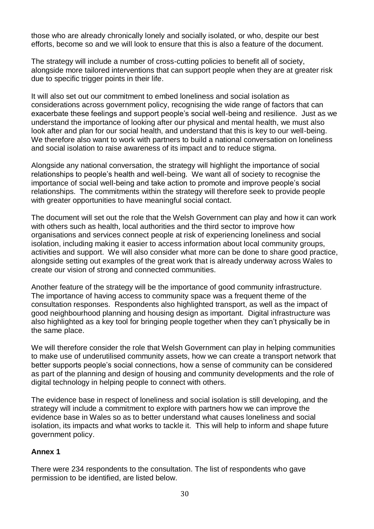those who are already chronically lonely and socially isolated, or who, despite our best efforts, become so and we will look to ensure that this is also a feature of the document.

The strategy will include a number of cross-cutting policies to benefit all of society, alongside more tailored interventions that can support people when they are at greater risk due to specific trigger points in their life.

It will also set out our commitment to embed loneliness and social isolation as considerations across government policy, recognising the wide range of factors that can exacerbate these feelings and support people's social well-being and resilience. Just as we understand the importance of looking after our physical and mental health, we must also look after and plan for our social health, and understand that this is key to our well-being. We therefore also want to work with partners to build a national conversation on loneliness and social isolation to raise awareness of its impact and to reduce stigma.

Alongside any national conversation, the strategy will highlight the importance of social relationships to people's health and well-being. We want all of society to recognise the importance of social well-being and take action to promote and improve people's social relationships. The commitments within the strategy will therefore seek to provide people with greater opportunities to have meaningful social contact.

The document will set out the role that the Welsh Government can play and how it can work with others such as health, local authorities and the third sector to improve how organisations and services connect people at risk of experiencing loneliness and social isolation, including making it easier to access information about local community groups, activities and support. We will also consider what more can be done to share good practice, alongside setting out examples of the great work that is already underway across Wales to create our vision of strong and connected communities.

Another feature of the strategy will be the importance of good community infrastructure. The importance of having access to community space was a frequent theme of the consultation responses. Respondents also highlighted transport, as well as the impact of good neighbourhood planning and housing design as important. Digital infrastructure was also highlighted as a key tool for bringing people together when they can't physically be in the same place.

We will therefore consider the role that Welsh Government can play in helping communities to make use of underutilised community assets, how we can create a transport network that better supports people's social connections, how a sense of community can be considered as part of the planning and design of housing and community developments and the role of digital technology in helping people to connect with others.

The evidence base in respect of loneliness and social isolation is still developing, and the strategy will include a commitment to explore with partners how we can improve the evidence base in Wales so as to better understand what causes loneliness and social isolation, its impacts and what works to tackle it. This will help to inform and shape future government policy.

#### **Annex 1**

There were 234 respondents to the consultation. The list of respondents who gave permission to be identified, are listed below.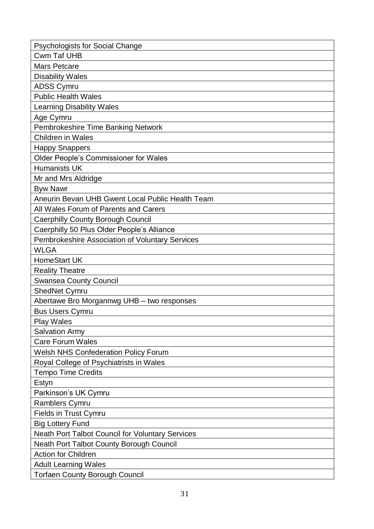| <b>Psychologists for Social Change</b>                  |
|---------------------------------------------------------|
| <b>Cwm Taf UHB</b>                                      |
| <b>Mars Petcare</b>                                     |
| <b>Disability Wales</b>                                 |
| <b>ADSS Cymru</b>                                       |
| <b>Public Health Wales</b>                              |
| <b>Learning Disability Wales</b>                        |
| Age Cymru                                               |
| Pembrokeshire Time Banking Network                      |
| Children in Wales                                       |
| <b>Happy Snappers</b>                                   |
| Older People's Commissioner for Wales                   |
| <b>Humanists UK</b>                                     |
| Mr and Mrs Aldridge                                     |
| <b>Byw Nawr</b>                                         |
| Aneurin Bevan UHB Gwent Local Public Health Team        |
| All Wales Forum of Parents and Carers                   |
| <b>Caerphilly County Borough Council</b>                |
| Caerphilly 50 Plus Older People's Alliance              |
| Pembrokeshire Association of Voluntary Services         |
| <b>WLGA</b>                                             |
| <b>HomeStart UK</b>                                     |
| <b>Reality Theatre</b>                                  |
| <b>Swansea County Council</b>                           |
| <b>ShedNet Cymru</b>                                    |
| Abertawe Bro Morgannwg UHB - two responses              |
| <b>Bus Users Cymru</b>                                  |
| <b>Play Wales</b>                                       |
| <b>Salvation Army</b>                                   |
| <b>Care Forum Wales</b>                                 |
| <b>Welsh NHS Confederation Policy Forum</b>             |
| Royal College of Psychiatrists in Wales                 |
| <b>Tempo Time Credits</b>                               |
| Estyn                                                   |
| Parkinson's UK Cymru                                    |
| <b>Ramblers Cymru</b>                                   |
| <b>Fields in Trust Cymru</b>                            |
| <b>Big Lottery Fund</b>                                 |
| <b>Neath Port Talbot Council for Voluntary Services</b> |
| <b>Neath Port Talbot County Borough Council</b>         |
| <b>Action for Children</b>                              |
| <b>Adult Learning Wales</b>                             |
| <b>Torfaen County Borough Council</b>                   |
|                                                         |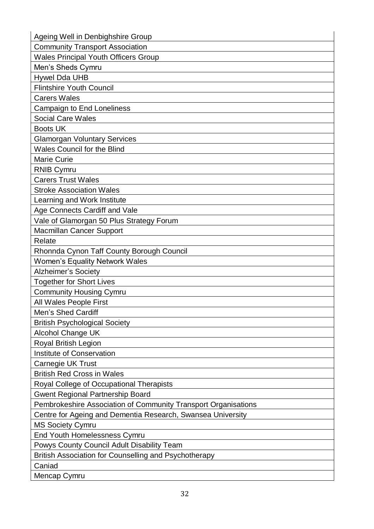| Ageing Well in Denbighshire Group                              |  |
|----------------------------------------------------------------|--|
| <b>Community Transport Association</b>                         |  |
| <b>Wales Principal Youth Officers Group</b>                    |  |
| Men's Sheds Cymru                                              |  |
| <b>Hywel Dda UHB</b>                                           |  |
| <b>Flintshire Youth Council</b>                                |  |
| <b>Carers Wales</b>                                            |  |
| Campaign to End Loneliness                                     |  |
| <b>Social Care Wales</b>                                       |  |
| <b>Boots UK</b>                                                |  |
| <b>Glamorgan Voluntary Services</b>                            |  |
| <b>Wales Council for the Blind</b>                             |  |
| <b>Marie Curie</b>                                             |  |
| <b>RNIB Cymru</b>                                              |  |
| <b>Carers Trust Wales</b>                                      |  |
| <b>Stroke Association Wales</b>                                |  |
| Learning and Work Institute                                    |  |
| Age Connects Cardiff and Vale                                  |  |
| Vale of Glamorgan 50 Plus Strategy Forum                       |  |
| <b>Macmillan Cancer Support</b>                                |  |
| Relate                                                         |  |
| Rhonnda Cynon Taff County Borough Council                      |  |
| <b>Women's Equality Network Wales</b>                          |  |
| <b>Alzheimer's Society</b>                                     |  |
| <b>Together for Short Lives</b>                                |  |
| <b>Community Housing Cymru</b>                                 |  |
| All Wales People First                                         |  |
| Men's Shed Cardiff                                             |  |
| <b>British Psychological Society</b>                           |  |
| <b>Alcohol Change UK</b>                                       |  |
| Royal British Legion                                           |  |
| Institute of Conservation                                      |  |
| Carnegie UK Trust                                              |  |
| <b>British Red Cross in Wales</b>                              |  |
| Royal College of Occupational Therapists                       |  |
| <b>Gwent Regional Partnership Board</b>                        |  |
| Pembrokeshire Association of Community Transport Organisations |  |
| Centre for Ageing and Dementia Research, Swansea University    |  |
| <b>MS Society Cymru</b>                                        |  |
| <b>End Youth Homelessness Cymru</b>                            |  |
| Powys County Council Adult Disability Team                     |  |
| British Association for Counselling and Psychotherapy          |  |
| Caniad                                                         |  |
| Mencap Cymru                                                   |  |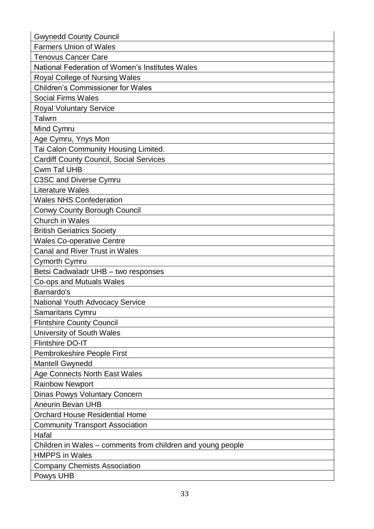| <b>Farmers Union of Wales</b><br><b>Tenovus Cancer Care</b><br>National Federation of Women's Institutes Wales<br>Royal College of Nursing Wales<br><b>Children's Commissioner for Wales</b><br><b>Social Firms Wales</b><br><b>Royal Voluntary Service</b><br>Talwrn<br>Mind Cymru<br>Age Cymru, Ynys Mon<br>Tai Calon Community Housing Limited.<br><b>Cardiff County Council, Social Services</b><br><b>Cwm Taf UHB</b><br><b>C3SC and Diverse Cymru</b><br><b>Literature Wales</b><br><b>Wales NHS Confederation</b><br><b>Conwy County Borough Council</b><br><b>Church in Wales</b><br><b>British Geriatrics Society</b><br><b>Wales Co-operative Centre</b><br><b>Canal and River Trust in Wales</b><br><b>Cymorth Cymru</b><br>Betsi Cadwaladr UHB - two responses<br>Co-ops and Mutuals Wales<br>Barnardo's<br>National Youth Advocacy Service<br>Samaritans Cymru<br><b>Flintshire County Council</b><br>University of South Wales<br><b>Flintshire DO-IT</b><br>Pembrokeshire People First<br><b>Mantell Gwynedd</b><br>Age Connects North East Wales<br><b>Rainbow Newport</b><br><b>Dinas Powys Voluntary Concern</b> |
|------------------------------------------------------------------------------------------------------------------------------------------------------------------------------------------------------------------------------------------------------------------------------------------------------------------------------------------------------------------------------------------------------------------------------------------------------------------------------------------------------------------------------------------------------------------------------------------------------------------------------------------------------------------------------------------------------------------------------------------------------------------------------------------------------------------------------------------------------------------------------------------------------------------------------------------------------------------------------------------------------------------------------------------------------------------------------------------------------------------------------------|
|                                                                                                                                                                                                                                                                                                                                                                                                                                                                                                                                                                                                                                                                                                                                                                                                                                                                                                                                                                                                                                                                                                                                    |
|                                                                                                                                                                                                                                                                                                                                                                                                                                                                                                                                                                                                                                                                                                                                                                                                                                                                                                                                                                                                                                                                                                                                    |
|                                                                                                                                                                                                                                                                                                                                                                                                                                                                                                                                                                                                                                                                                                                                                                                                                                                                                                                                                                                                                                                                                                                                    |
|                                                                                                                                                                                                                                                                                                                                                                                                                                                                                                                                                                                                                                                                                                                                                                                                                                                                                                                                                                                                                                                                                                                                    |
|                                                                                                                                                                                                                                                                                                                                                                                                                                                                                                                                                                                                                                                                                                                                                                                                                                                                                                                                                                                                                                                                                                                                    |
|                                                                                                                                                                                                                                                                                                                                                                                                                                                                                                                                                                                                                                                                                                                                                                                                                                                                                                                                                                                                                                                                                                                                    |
|                                                                                                                                                                                                                                                                                                                                                                                                                                                                                                                                                                                                                                                                                                                                                                                                                                                                                                                                                                                                                                                                                                                                    |
|                                                                                                                                                                                                                                                                                                                                                                                                                                                                                                                                                                                                                                                                                                                                                                                                                                                                                                                                                                                                                                                                                                                                    |
|                                                                                                                                                                                                                                                                                                                                                                                                                                                                                                                                                                                                                                                                                                                                                                                                                                                                                                                                                                                                                                                                                                                                    |
|                                                                                                                                                                                                                                                                                                                                                                                                                                                                                                                                                                                                                                                                                                                                                                                                                                                                                                                                                                                                                                                                                                                                    |
|                                                                                                                                                                                                                                                                                                                                                                                                                                                                                                                                                                                                                                                                                                                                                                                                                                                                                                                                                                                                                                                                                                                                    |
|                                                                                                                                                                                                                                                                                                                                                                                                                                                                                                                                                                                                                                                                                                                                                                                                                                                                                                                                                                                                                                                                                                                                    |
|                                                                                                                                                                                                                                                                                                                                                                                                                                                                                                                                                                                                                                                                                                                                                                                                                                                                                                                                                                                                                                                                                                                                    |
|                                                                                                                                                                                                                                                                                                                                                                                                                                                                                                                                                                                                                                                                                                                                                                                                                                                                                                                                                                                                                                                                                                                                    |
|                                                                                                                                                                                                                                                                                                                                                                                                                                                                                                                                                                                                                                                                                                                                                                                                                                                                                                                                                                                                                                                                                                                                    |
|                                                                                                                                                                                                                                                                                                                                                                                                                                                                                                                                                                                                                                                                                                                                                                                                                                                                                                                                                                                                                                                                                                                                    |
|                                                                                                                                                                                                                                                                                                                                                                                                                                                                                                                                                                                                                                                                                                                                                                                                                                                                                                                                                                                                                                                                                                                                    |
|                                                                                                                                                                                                                                                                                                                                                                                                                                                                                                                                                                                                                                                                                                                                                                                                                                                                                                                                                                                                                                                                                                                                    |
|                                                                                                                                                                                                                                                                                                                                                                                                                                                                                                                                                                                                                                                                                                                                                                                                                                                                                                                                                                                                                                                                                                                                    |
|                                                                                                                                                                                                                                                                                                                                                                                                                                                                                                                                                                                                                                                                                                                                                                                                                                                                                                                                                                                                                                                                                                                                    |
|                                                                                                                                                                                                                                                                                                                                                                                                                                                                                                                                                                                                                                                                                                                                                                                                                                                                                                                                                                                                                                                                                                                                    |
|                                                                                                                                                                                                                                                                                                                                                                                                                                                                                                                                                                                                                                                                                                                                                                                                                                                                                                                                                                                                                                                                                                                                    |
|                                                                                                                                                                                                                                                                                                                                                                                                                                                                                                                                                                                                                                                                                                                                                                                                                                                                                                                                                                                                                                                                                                                                    |
|                                                                                                                                                                                                                                                                                                                                                                                                                                                                                                                                                                                                                                                                                                                                                                                                                                                                                                                                                                                                                                                                                                                                    |
|                                                                                                                                                                                                                                                                                                                                                                                                                                                                                                                                                                                                                                                                                                                                                                                                                                                                                                                                                                                                                                                                                                                                    |
|                                                                                                                                                                                                                                                                                                                                                                                                                                                                                                                                                                                                                                                                                                                                                                                                                                                                                                                                                                                                                                                                                                                                    |
|                                                                                                                                                                                                                                                                                                                                                                                                                                                                                                                                                                                                                                                                                                                                                                                                                                                                                                                                                                                                                                                                                                                                    |
|                                                                                                                                                                                                                                                                                                                                                                                                                                                                                                                                                                                                                                                                                                                                                                                                                                                                                                                                                                                                                                                                                                                                    |
|                                                                                                                                                                                                                                                                                                                                                                                                                                                                                                                                                                                                                                                                                                                                                                                                                                                                                                                                                                                                                                                                                                                                    |
|                                                                                                                                                                                                                                                                                                                                                                                                                                                                                                                                                                                                                                                                                                                                                                                                                                                                                                                                                                                                                                                                                                                                    |
|                                                                                                                                                                                                                                                                                                                                                                                                                                                                                                                                                                                                                                                                                                                                                                                                                                                                                                                                                                                                                                                                                                                                    |
|                                                                                                                                                                                                                                                                                                                                                                                                                                                                                                                                                                                                                                                                                                                                                                                                                                                                                                                                                                                                                                                                                                                                    |
|                                                                                                                                                                                                                                                                                                                                                                                                                                                                                                                                                                                                                                                                                                                                                                                                                                                                                                                                                                                                                                                                                                                                    |
|                                                                                                                                                                                                                                                                                                                                                                                                                                                                                                                                                                                                                                                                                                                                                                                                                                                                                                                                                                                                                                                                                                                                    |
|                                                                                                                                                                                                                                                                                                                                                                                                                                                                                                                                                                                                                                                                                                                                                                                                                                                                                                                                                                                                                                                                                                                                    |
| <b>Aneurin Bevan UHB</b>                                                                                                                                                                                                                                                                                                                                                                                                                                                                                                                                                                                                                                                                                                                                                                                                                                                                                                                                                                                                                                                                                                           |
| <b>Orchard House Residential Home</b>                                                                                                                                                                                                                                                                                                                                                                                                                                                                                                                                                                                                                                                                                                                                                                                                                                                                                                                                                                                                                                                                                              |
| <b>Community Transport Association</b>                                                                                                                                                                                                                                                                                                                                                                                                                                                                                                                                                                                                                                                                                                                                                                                                                                                                                                                                                                                                                                                                                             |
| Hafal                                                                                                                                                                                                                                                                                                                                                                                                                                                                                                                                                                                                                                                                                                                                                                                                                                                                                                                                                                                                                                                                                                                              |
| Children in Wales – comments from children and young people                                                                                                                                                                                                                                                                                                                                                                                                                                                                                                                                                                                                                                                                                                                                                                                                                                                                                                                                                                                                                                                                        |
| <b>HMPPS</b> in Wales                                                                                                                                                                                                                                                                                                                                                                                                                                                                                                                                                                                                                                                                                                                                                                                                                                                                                                                                                                                                                                                                                                              |
| <b>Company Chemists Association</b>                                                                                                                                                                                                                                                                                                                                                                                                                                                                                                                                                                                                                                                                                                                                                                                                                                                                                                                                                                                                                                                                                                |
| Powys UHB                                                                                                                                                                                                                                                                                                                                                                                                                                                                                                                                                                                                                                                                                                                                                                                                                                                                                                                                                                                                                                                                                                                          |